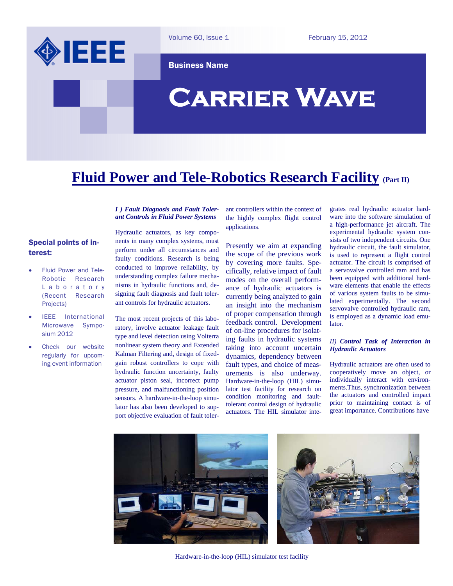

Volume 60, Issue 1

February 15, 2012

Business Name

# **Carrier Wave**

# **Fluid Power and Tele-Robotics Research Facility (Part II)**

#### *I ) Fault Diagnosis and Fault Tolerant Controls in Fluid Power Systems*

### Special points of interest:

- Fluid Power and Tele-Robotic Research L a b o r a t o r y (Recent Research Projects)
- IEEE International Microwave Symposium 2012
- Check our website regularly for upcoming event information

Hydraulic actuators, as key components in many complex systems, must perform under all circumstances and faulty conditions. Research is being conducted to improve reliability, by understanding complex failure mechanisms in hydraulic functions and, designing fault diagnosis and fault tolerant controls for hydraulic actuators.

The most recent projects of this laboratory, involve actuator leakage fault type and level detection using Volterra nonlinear system theory and Extended Kalman Filtering and, design of fixedgain robust controllers to cope with hydraulic function uncertainty, faulty actuator piston seal, incorrect pump pressure, and malfunctioning position sensors. A hardware-in-the-loop simulator has also been developed to support objective evaluation of fault tolerant controllers within the context of the highly complex flight control applications.

Presently we aim at expanding the scope of the previous work by covering more faults. Specifically, relative impact of fault modes on the overall performance of hydraulic actuators is currently being analyzed to gain an insight into the mechanism of proper compensation through feedback control. Development of on-line procedures for isolating faults in hydraulic systems taking into account uncertain dynamics, dependency between fault types, and choice of measurements is also underway. Hardware-in-the-loop (HIL) simulator test facility for research on condition monitoring and faulttolerant control design of hydraulic actuators. The HIL simulator integrates real hydraulic actuator hardware into the software simulation of a high-performance jet aircraft. The experimental hydraulic system consists of two independent circuits. One hydraulic circuit, the fault simulator, is used to represent a flight control actuator. The circuit is comprised of a servovalve controlled ram and has been equipped with additional hardware elements that enable the effects of various system faults to be simulated experimentally. The second servovalve controlled hydraulic ram, is employed as a dynamic load emulator.

#### *II) Control Task of Interaction in Hydraulic Actuators*

Hydraulic actuators are often used to cooperatively move an object, or individually interact with environments.Thus, synchronization between the actuators and controlled impact prior to maintaining contact is of great importance. Contributions have



Hardware-in-the-loop (HIL) simulator test facility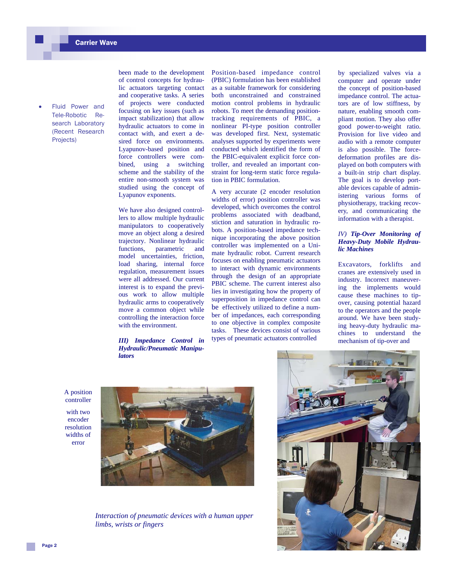Fluid Power and Tele-Robotic Research Laboratory (Recent Research Projects)

been made to the development of control concepts for hydraulic actuators targeting contact and cooperative tasks. A series of projects were conducted focusing on key issues (such as impact stabilization) that allow hydraulic actuators to come in contact with, and exert a desired force on environments. Lyapunov-based position and force controllers were combined, using a switching scheme and the stability of the entire non-smooth system was studied using the concept of Lyapunov exponents.

We have also designed controllers to allow multiple hydraulic manipulators to cooperatively move an object along a desired trajectory. Nonlinear hydraulic functions, parametric and model uncertainties, friction, load sharing, internal force regulation, measurement issues were all addressed. Our current interest is to expand the previous work to allow multiple hydraulic arms to cooperatively move a common object while controlling the interaction force with the environment.

*III) Impedance Control in Hydraulic/Pneumatic Manipulators* 

Position-based impedance control (PBIC) formulation has been established as a suitable framework for considering both unconstrained and constrained motion control problems in hydraulic robots. To meet the demanding positiontracking requirements of PBIC, a nonlinear PI-type position controller was developed first. Next, systematic analyses supported by experiments were conducted which identified the form of the PBIC-equivalent explicit force controller, and revealed an important constraint for long-term static force regulation in PBIC formulation.

A very accurate (2 encoder resolution widths of error) position controller was developed, which overcomes the control problems associated with deadband, stiction and saturation in hydraulic robots. A position-based impedance technique incorporating the above position controller was implemented on a Unimate hydraulic robot. Current research focuses on enabling pneumatic actuators to interact with dynamic environments through the design of an appropriate PBIC scheme. The current interest also lies in investigating how the property of superposition in impedance control can be effectively utilized to define a number of impedances, each corresponding to one objective in complex composite tasks. These devices consist of various types of pneumatic actuators controlled

by specialized valves via a computer and operate under the concept of position-based impedance control. The actuators are of low stiffness, by nature, enabling smooth compliant motion. They also offer good power-to-weight ratio. Provision for live video and audio with a remote computer is also possible. The forcedeformation profiles are displayed on both computers with a built-in strip chart display. The goal is to develop portable devices capable of administering various forms of physiotherapy, tracking recovery, and communicating the information with a therapist.

#### *IV) Tip-Over Monitoring of Heavy-Duty Mobile Hydraulic Machines*

Excavators, forklifts and cranes are extensively used in industry. Incorrect maneuvering the implements would cause these machines to tipover, causing potential hazard to the operators and the people around. We have been studying heavy-duty hydraulic machines to understand the mechanism of tip-over and

A position controller

with two encoder resolution widths of error



*Interaction of pneumatic devices with a human upper limbs, wrists or fingers*

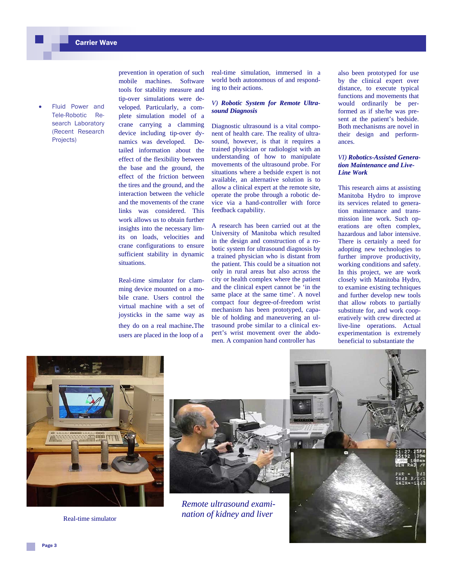Fluid Power and Tele-Robotic Research Laboratory (Recent Research Projects)

prevention in operation of such mobile machines. Software tools for stability measure and tip-over simulations were developed. Particularly, a complete simulation model of a crane carrying a clamming device including tip-over dynamics was developed. Detailed information about the effect of the flexibility between the base and the ground, the effect of the friction between the tires and the ground, and the interaction between the vehicle and the movements of the crane links was considered. This work allows us to obtain further insights into the necessary limits on loads, velocities and crane configurations to ensure sufficient stability in dynamic situations.

Real-time simulator for clamming device mounted on a mobile crane. Users control the virtual machine with a set of joysticks in the same way as they do on a real machine.The

users are placed in the loop of a

real-time simulation, immersed in a world both autonomous of and responding to their actions.

#### *V) Robotic System for Remote Ultrasound Diagnosis*

Diagnostic ultrasound is a vital component of health care. The reality of ultrasound, however, is that it requires a trained physician or radiologist with an understanding of how to manipulate movements of the ultrasound probe. For situations where a bedside expert is not available, an alternative solution is to allow a clinical expert at the remote site, operate the probe through a robotic device via a hand-controller with force feedback capability.

A research has been carried out at the University of Manitoba which resulted in the design and construction of a robotic system for ultrasound diagnosis by a trained physician who is distant from the patient. This could be a situation not only in rural areas but also across the city or health complex where the patient and the clinical expert cannot be 'in the same place at the same time'. A novel compact four degree-of-freedom wrist mechanism has been prototyped, capable of holding and maneuvering an ultrasound probe similar to a clinical expert's wrist movement over the abdomen. A companion hand controller has

also been prototyped for use by the clinical expert over distance, to execute typical functions and movements that would ordinarily be performed as if she/he was present at the patient's bedside. Both mechanisms are novel in their design and performances.

#### *VI) Robotics-Assisted Generation Maintenance and Live-Line Work*

This research aims at assisting Manitoba Hydro to improve its services related to generation maintenance and transmission line work. Such operations are often complex, hazardous and labor intensive. There is certainly a need for adopting new technologies to further improve productivity, working conditions and safety. In this project, we are work closely with Manitoba Hydro, to examine existing techniques and further develop new tools that allow robots to partially substitute for, and work cooperatively with crew directed at live-line operations. Actual experimentation is extremely beneficial to substantiate the



Real-time simulator



*Remote ultrasound examination of kidney and liver*

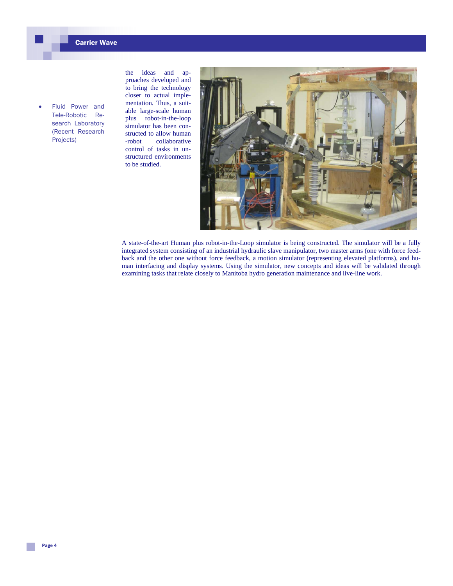Fluid Power and Tele-Robotic Research Laboratory (Recent Research Projects)

the ideas and approaches developed and to bring the technology closer to actual implementation. Thus, a suitable large-scale human plus robot-in-the-loop simulator has been constructed to allow human -robot collaborative control of tasks in unstructured environments to be studied.



A state-of-the-art Human plus robot-in-the-Loop simulator is being constructed. The simulator will be a fully integrated system consisting of an industrial hydraulic slave manipulator, two master arms (one with force feedback and the other one without force feedback, a motion simulator (representing elevated platforms), and human interfacing and display systems. Using the simulator, new concepts and ideas will be validated through examining tasks that relate closely to Manitoba hydro generation maintenance and live-line work.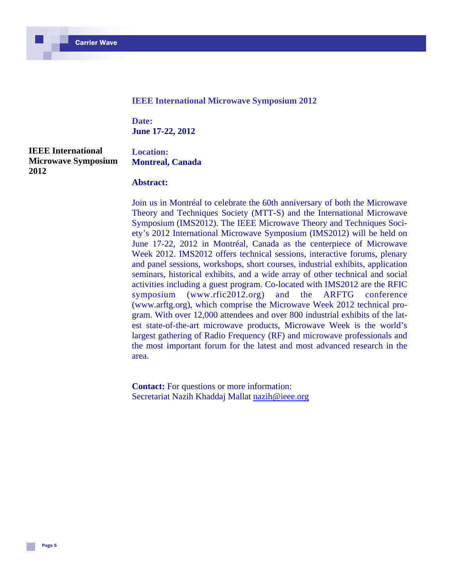#### **IEEE International Microwave Symposium 2012**

**Date: June 17-22, 2012** 

**IEEE International Microwave Symposium 2012**

### **Location: Montreal, Canada**

### **Abstract:**

Join us in Montréal to celebrate the 60th anniversary of both the Microwave Theory and Techniques Society (MTT-S) and the International Microwave Symposium (IMS2012). The IEEE Microwave Theory and Techniques Society's 2012 International Microwave Symposium (IMS2012) will be held on June 17-22, 2012 in Montréal, Canada as the centerpiece of Microwave Week 2012. IMS2012 offers technical sessions, interactive forums, plenary and panel sessions, workshops, short courses, industrial exhibits, application seminars, historical exhibits, and a wide array of other technical and social activities including a guest program. Co-located with IMS2012 are the RFIC symposium (www.rfic2012.org) and the ARFTG conference (www.arftg.org), which comprise the Microwave Week 2012 technical program. With over 12,000 attendees and over 800 industrial exhibits of the latest state-of-the-art microwave products, Microwave Week is the world's largest gathering of Radio Frequency (RF) and microwave professionals and the most important forum for the latest and most advanced research in the area.

**Contact:** For questions or more information: Secretariat Nazih Khaddaj Mallat nazih@ieee.org